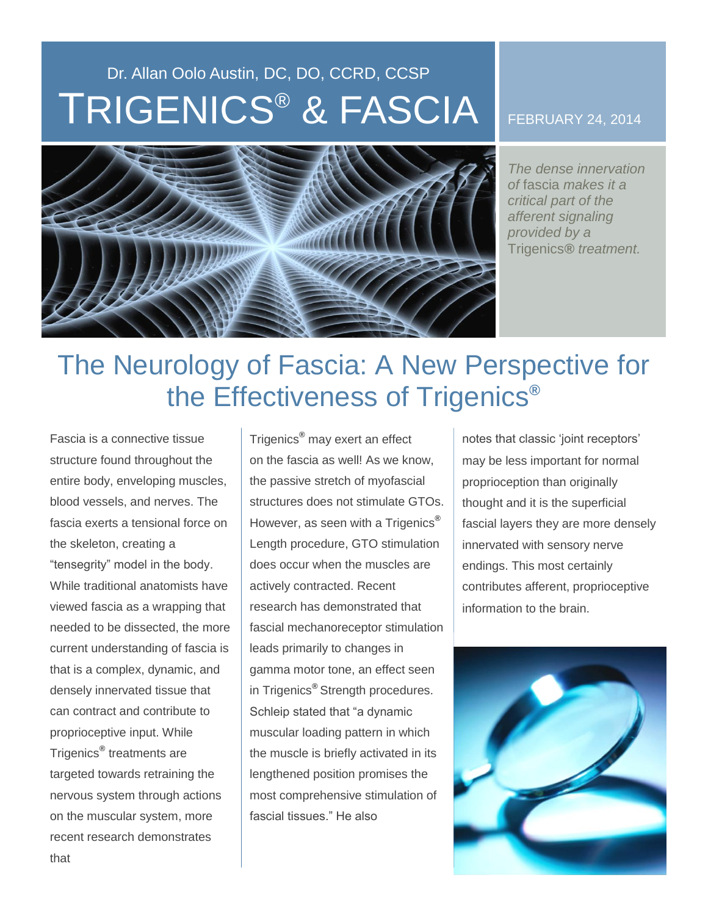## Dr. Allan Oolo Austin, DC, DO, CCRD, CCSP TRIGENICS ® & FASCIA



FEBRUARY 24, 2014

*The dense innervation of* fascia *makes it a critical part of the afferent signaling provided by a*  Trigenics*® treatment.* 

## The Neurology of Fascia: A New Perspective for the Effectiveness of Trigenics**®**

Fascia is a connective tissue structure found throughout the entire body, enveloping muscles, blood vessels, and nerves. The fascia exerts a tensional force on the skeleton, creating a "tensegrity" model in the body. While traditional anatomists have viewed fascia as a wrapping that needed to be dissected, the more current understanding of fascia is that is a complex, dynamic, and densely innervated tissue that can contract and contribute to proprioceptive input. While Trigenics**®** treatments are targeted towards retraining the nervous system through actions on the muscular system, more recent research demonstrates that

Trigenics**®** may exert an effect on the fascia as well! As we know, the passive stretch of myofascial structures does not stimulate GTOs. However, as seen with a Trigenics**®**  Length procedure, GTO stimulation does occur when the muscles are actively contracted. Recent research has demonstrated that fascial mechanoreceptor stimulation leads primarily to changes in gamma motor tone, an effect seen in Trigenics**®** Strength procedures. Schleip stated that "a dynamic muscular loading pattern in which the muscle is briefly activated in its lengthened position promises the most comprehensive stimulation of fascial tissues." He also

notes that classic 'joint receptors' may be less important for normal proprioception than originally thought and it is the superficial fascial layers they are more densely innervated with sensory nerve endings. This most certainly contributes afferent, proprioceptive information to the brain.